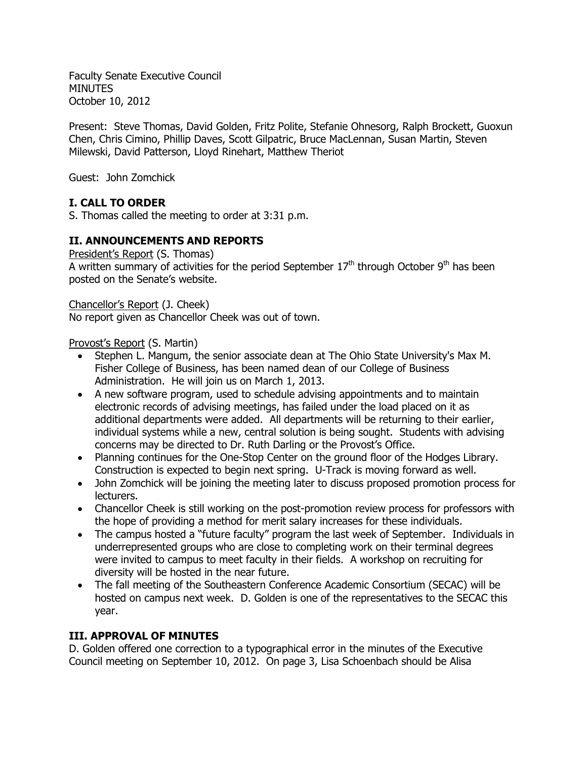Faculty Senate Executive Council MINUTES October 10, 2012

Present: Steve Thomas, David Golden, Fritz Polite, Stefanie Ohnesorg, Ralph Brockett, Guoxun Chen, Chris Cimino, Phillip Daves, Scott Gilpatric, Bruce MacLennan, Susan Martin, Steven Milewski, David Patterson, Lloyd Rinehart, Matthew Theriot

Guest: John Zomchick

# **I. CALL TO ORDER**

S. Thomas called the meeting to order at 3:31 p.m.

# **II. ANNOUNCEMENTS AND REPORTS**

President's Report (S. Thomas) A written summary of activities for the period September  $17<sup>th</sup>$  through October  $9<sup>th</sup>$  has been posted on the Senate's website.

Chancellor's Report (J. Cheek)

No report given as Chancellor Cheek was out of town.

Provost's Report (S. Martin)

- Stephen L. Mangum, the senior associate dean at The Ohio State University's Max M. Fisher College of Business, has been named dean of our College of Business Administration. He will join us on March 1, 2013.
- A new software program, used to schedule advising appointments and to maintain electronic records of advising meetings, has failed under the load placed on it as additional departments were added. All departments will be returning to their earlier, individual systems while a new, central solution is being sought. Students with advising concerns may be directed to Dr. Ruth Darling or the Provost's Office.
- Planning continues for the One-Stop Center on the ground floor of the Hodges Library. Construction is expected to begin next spring. U-Track is moving forward as well.
- John Zomchick will be joining the meeting later to discuss proposed promotion process for lecturers.
- Chancellor Cheek is still working on the post-promotion review process for professors with the hope of providing a method for merit salary increases for these individuals.
- The campus hosted a "future faculty" program the last week of September. Individuals in underrepresented groups who are close to completing work on their terminal degrees were invited to campus to meet faculty in their fields. A workshop on recruiting for diversity will be hosted in the near future.
- The fall meeting of the Southeastern Conference Academic Consortium (SECAC) will be hosted on campus next week. D. Golden is one of the representatives to the SECAC this year.

# **III. APPROVAL OF MINUTES**

D. Golden offered one correction to a typographical error in the minutes of the Executive Council meeting on September 10, 2012. On page 3, Lisa Schoenbach should be Alisa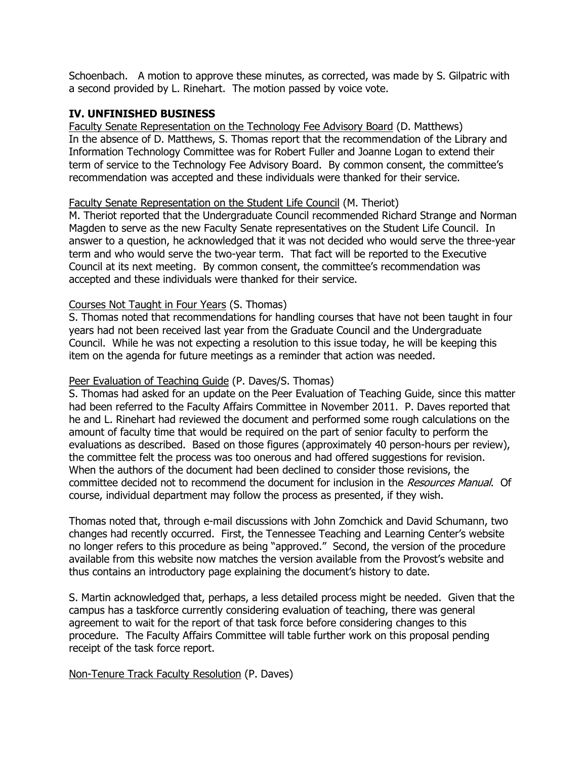Schoenbach. A motion to approve these minutes, as corrected, was made by S. Gilpatric with a second provided by L. Rinehart. The motion passed by voice vote.

## **IV. UNFINISHED BUSINESS**

Faculty Senate Representation on the Technology Fee Advisory Board (D. Matthews) In the absence of D. Matthews, S. Thomas report that the recommendation of the Library and Information Technology Committee was for Robert Fuller and Joanne Logan to extend their term of service to the Technology Fee Advisory Board. By common consent, the committee's recommendation was accepted and these individuals were thanked for their service.

#### Faculty Senate Representation on the Student Life Council (M. Theriot)

M. Theriot reported that the Undergraduate Council recommended Richard Strange and Norman Magden to serve as the new Faculty Senate representatives on the Student Life Council. In answer to a question, he acknowledged that it was not decided who would serve the three-year term and who would serve the two-year term. That fact will be reported to the Executive Council at its next meeting. By common consent, the committee's recommendation was accepted and these individuals were thanked for their service.

#### Courses Not Taught in Four Years (S. Thomas)

S. Thomas noted that recommendations for handling courses that have not been taught in four years had not been received last year from the Graduate Council and the Undergraduate Council. While he was not expecting a resolution to this issue today, he will be keeping this item on the agenda for future meetings as a reminder that action was needed.

## Peer Evaluation of Teaching Guide (P. Daves/S. Thomas)

S. Thomas had asked for an update on the Peer Evaluation of Teaching Guide, since this matter had been referred to the Faculty Affairs Committee in November 2011. P. Daves reported that he and L. Rinehart had reviewed the document and performed some rough calculations on the amount of faculty time that would be required on the part of senior faculty to perform the evaluations as described. Based on those figures (approximately 40 person-hours per review), the committee felt the process was too onerous and had offered suggestions for revision. When the authors of the document had been declined to consider those revisions, the committee decided not to recommend the document for inclusion in the Resources Manual. Of course, individual department may follow the process as presented, if they wish.

Thomas noted that, through e-mail discussions with John Zomchick and David Schumann, two changes had recently occurred. First, the Tennessee Teaching and Learning Center's website no longer refers to this procedure as being "approved." Second, the version of the procedure available from this website now matches the version available from the Provost's website and thus contains an introductory page explaining the document's history to date.

S. Martin acknowledged that, perhaps, a less detailed process might be needed. Given that the campus has a taskforce currently considering evaluation of teaching, there was general agreement to wait for the report of that task force before considering changes to this procedure. The Faculty Affairs Committee will table further work on this proposal pending receipt of the task force report.

Non-Tenure Track Faculty Resolution (P. Daves)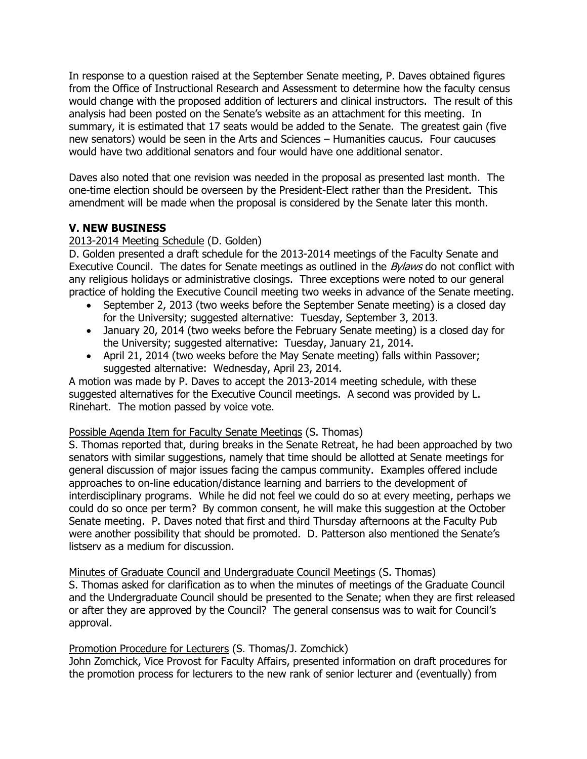In response to a question raised at the September Senate meeting, P. Daves obtained figures from the Office of Instructional Research and Assessment to determine how the faculty census would change with the proposed addition of lecturers and clinical instructors. The result of this analysis had been posted on the Senate's website as an attachment for this meeting. In summary, it is estimated that 17 seats would be added to the Senate. The greatest gain (five new senators) would be seen in the Arts and Sciences – Humanities caucus. Four caucuses would have two additional senators and four would have one additional senator.

Daves also noted that one revision was needed in the proposal as presented last month. The one-time election should be overseen by the President-Elect rather than the President. This amendment will be made when the proposal is considered by the Senate later this month.

# **V. NEW BUSINESS**

# 2013-2014 Meeting Schedule (D. Golden)

D. Golden presented a draft schedule for the 2013-2014 meetings of the Faculty Senate and Executive Council. The dates for Senate meetings as outlined in the *Bylaws* do not conflict with any religious holidays or administrative closings. Three exceptions were noted to our general practice of holding the Executive Council meeting two weeks in advance of the Senate meeting.

- September 2, 2013 (two weeks before the September Senate meeting) is a closed day for the University; suggested alternative: Tuesday, September 3, 2013.
- January 20, 2014 (two weeks before the February Senate meeting) is a closed day for the University; suggested alternative: Tuesday, January 21, 2014.
- April 21, 2014 (two weeks before the May Senate meeting) falls within Passover; suggested alternative: Wednesday, April 23, 2014.

A motion was made by P. Daves to accept the 2013-2014 meeting schedule, with these suggested alternatives for the Executive Council meetings. A second was provided by L. Rinehart. The motion passed by voice vote.

## Possible Agenda Item for Faculty Senate Meetings (S. Thomas)

S. Thomas reported that, during breaks in the Senate Retreat, he had been approached by two senators with similar suggestions, namely that time should be allotted at Senate meetings for general discussion of major issues facing the campus community. Examples offered include approaches to on-line education/distance learning and barriers to the development of interdisciplinary programs. While he did not feel we could do so at every meeting, perhaps we could do so once per term? By common consent, he will make this suggestion at the October Senate meeting. P. Daves noted that first and third Thursday afternoons at the Faculty Pub were another possibility that should be promoted. D. Patterson also mentioned the Senate's listserv as a medium for discussion.

Minutes of Graduate Council and Undergraduate Council Meetings (S. Thomas)

S. Thomas asked for clarification as to when the minutes of meetings of the Graduate Council and the Undergraduate Council should be presented to the Senate; when they are first released or after they are approved by the Council? The general consensus was to wait for Council's approval.

# Promotion Procedure for Lecturers (S. Thomas/J. Zomchick)

John Zomchick, Vice Provost for Faculty Affairs, presented information on draft procedures for the promotion process for lecturers to the new rank of senior lecturer and (eventually) from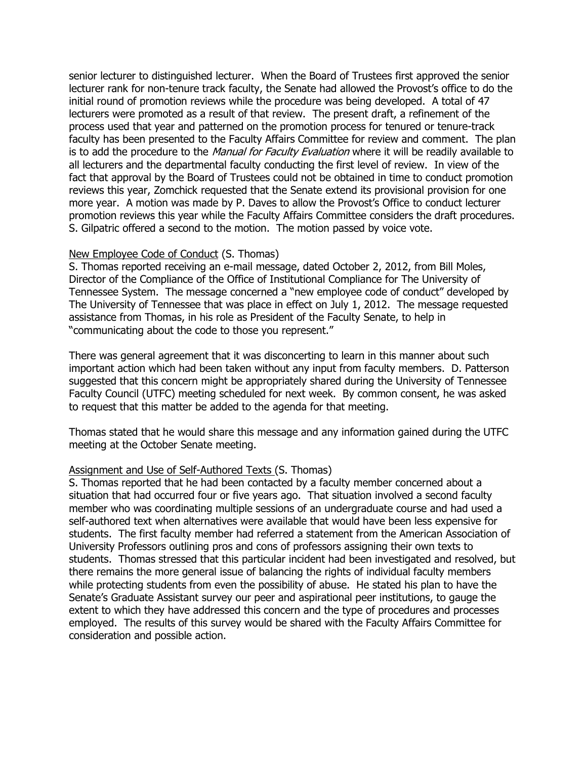senior lecturer to distinguished lecturer. When the Board of Trustees first approved the senior lecturer rank for non-tenure track faculty, the Senate had allowed the Provost's office to do the initial round of promotion reviews while the procedure was being developed. A total of 47 lecturers were promoted as a result of that review. The present draft, a refinement of the process used that year and patterned on the promotion process for tenured or tenure-track faculty has been presented to the Faculty Affairs Committee for review and comment. The plan is to add the procedure to the *Manual for Faculty Evaluation* where it will be readily available to all lecturers and the departmental faculty conducting the first level of review. In view of the fact that approval by the Board of Trustees could not be obtained in time to conduct promotion reviews this year, Zomchick requested that the Senate extend its provisional provision for one more year. A motion was made by P. Daves to allow the Provost's Office to conduct lecturer promotion reviews this year while the Faculty Affairs Committee considers the draft procedures. S. Gilpatric offered a second to the motion. The motion passed by voice vote.

#### New Employee Code of Conduct (S. Thomas)

S. Thomas reported receiving an e-mail message, dated October 2, 2012, from Bill Moles, Director of the Compliance of the Office of Institutional Compliance for The University of Tennessee System. The message concerned a "new employee code of conduct" developed by The University of Tennessee that was place in effect on July 1, 2012. The message requested assistance from Thomas, in his role as President of the Faculty Senate, to help in "communicating about the code to those you represent."

There was general agreement that it was disconcerting to learn in this manner about such important action which had been taken without any input from faculty members. D. Patterson suggested that this concern might be appropriately shared during the University of Tennessee Faculty Council (UTFC) meeting scheduled for next week. By common consent, he was asked to request that this matter be added to the agenda for that meeting.

Thomas stated that he would share this message and any information gained during the UTFC meeting at the October Senate meeting.

#### Assignment and Use of Self-Authored Texts (S. Thomas)

S. Thomas reported that he had been contacted by a faculty member concerned about a situation that had occurred four or five years ago. That situation involved a second faculty member who was coordinating multiple sessions of an undergraduate course and had used a self-authored text when alternatives were available that would have been less expensive for students. The first faculty member had referred a statement from the American Association of University Professors outlining pros and cons of professors assigning their own texts to students. Thomas stressed that this particular incident had been investigated and resolved, but there remains the more general issue of balancing the rights of individual faculty members while protecting students from even the possibility of abuse. He stated his plan to have the Senate's Graduate Assistant survey our peer and aspirational peer institutions, to gauge the extent to which they have addressed this concern and the type of procedures and processes employed. The results of this survey would be shared with the Faculty Affairs Committee for consideration and possible action.